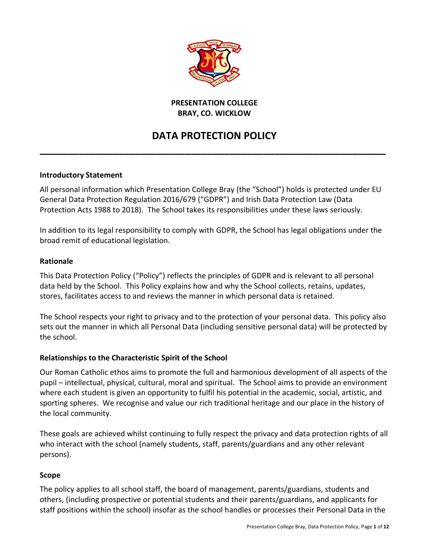

#### **PRESENTATION COLLEGE BRAY, CO. WICKLOW**

# **DATA PROTECTION POLICY**

**\_\_\_\_\_\_\_\_\_\_\_\_\_\_\_\_\_\_\_\_\_\_\_\_\_\_\_\_\_\_\_\_\_\_\_\_\_\_\_\_\_\_\_\_\_\_\_\_\_\_\_\_\_\_\_\_\_\_\_\_\_\_**

# **Introductory Statement**

All personal information which Presentation College Bray (the "School") holds is protected under EU General Data Protection Regulation 2016/679 ("GDPR") and Irish Data Protection Law (Data Protection Acts 1988 to 2018). The School takes its responsibilities under these laws seriously.

In addition to its legal responsibility to comply with GDPR, the School has legal obligations under the broad remit of educational legislation.

#### **Rationale**

This Data Protection Policy ("Policy") reflects the principles of GDPR and is relevant to all personal data held by the School. This Policy explains how and why the School collects, retains, updates, stores, facilitates access to and reviews the manner in which personal data is retained.

The School respects your right to privacy and to the protection of your personal data. This policy also sets out the manner in which all Personal Data (including sensitive personal data) will be protected by the school.

#### **Relationships to the Characteristic Spirit of the School**

Our Roman Catholic ethos aims to promote the full and harmonious development of all aspects of the pupil – intellectual, physical, cultural, moral and spiritual. The School aims to provide an environment where each student is given an opportunity to fulfil his potential in the academic, social, artistic, and sporting spheres. We recognise and value our rich traditional heritage and our place in the history of the local community.

These goals are achieved whilst continuing to fully respect the privacy and data protection rights of all who interact with the school (namely students, staff, parents/guardians and any other relevant persons).

#### **Scope**

The policy applies to all school staff, the board of management, parents/guardians, students and others, (including prospective or potential students and their parents/guardians, and applicants for staff positions within the school) insofar as the school handles or processes their Personal Data in the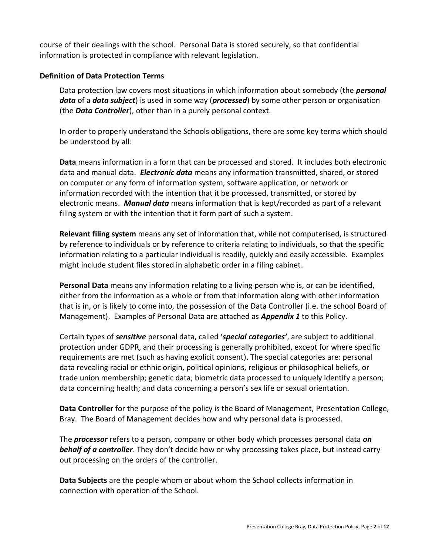course of their dealings with the school. Personal Data is stored securely, so that confidential information is protected in compliance with relevant legislation.

#### **Definition of Data Protection Terms**

Data protection law covers most situations in which information about somebody (the *personal data* of a *data subject*) is used in some way (*processed*) by some other person or organisation (the *Data Controller*), other than in a purely personal context.

In order to properly understand the Schools obligations, there are some key terms which should be understood by all:

**Data** means information in a form that can be processed and stored. It includes both electronic data and manual data. *Electronic data* means any information transmitted, shared, or stored on computer or any form of information system, software application, or network or information recorded with the intention that it be processed, transmitted, or stored by electronic means. *Manual data* means information that is kept/recorded as part of a relevant filing system or with the intention that it form part of such a system.

**Relevant filing system** means any set of information that, while not computerised, is structured by reference to individuals or by reference to criteria relating to individuals, so that the specific information relating to a particular individual is readily, quickly and easily accessible. Examples might include student files stored in alphabetic order in a filing cabinet.

**Personal Data** means any information relating to a living person who is, or can be identified, either from the information as a whole or from that information along with other information that is in, or is likely to come into, the possession of the Data Controller (i.e. the school Board of Management). Examples of Personal Data are attached as *Appendix 1* to this Policy.

Certain types of *sensitive* personal data, called '*special categories'*, are subject to additional protection under GDPR, and their processing is generally prohibited, except for where specific requirements are met (such as having explicit consent). The special categories are: personal data revealing racial or ethnic origin, political opinions, religious or philosophical beliefs, or trade union membership; genetic data; biometric data processed to uniquely identify a person; data concerning health; and data concerning a person's sex life or sexual orientation.

**Data Controller** for the purpose of the policy is the Board of Management, Presentation College, Bray. The Board of Management decides how and why personal data is processed.

The *processor* refers to a person, company or other body which processes personal data *on behalf of a controller*. They don't decide how or why processing takes place, but instead carry out processing on the orders of the controller.

**Data Subjects** are the people whom or about whom the School collects information in connection with operation of the School.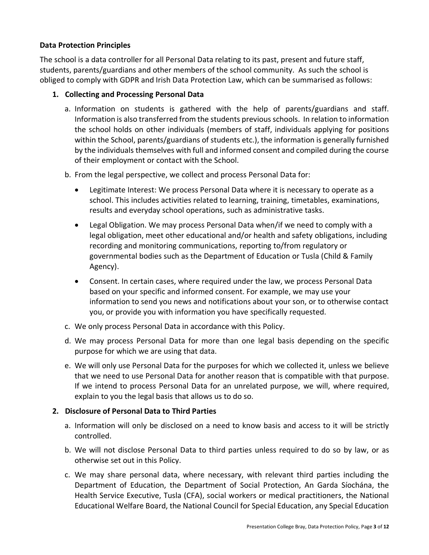#### **Data Protection Principles**

The school is a data controller for all Personal Data relating to its past, present and future staff, students, parents/guardians and other members of the school community. As such the school is obliged to comply with GDPR and Irish Data Protection Law, which can be summarised as follows:

#### **1. Collecting and Processing Personal Data**

- a. Information on students is gathered with the help of parents/guardians and staff. Information is also transferred from the students previous schools. In relation to information the school holds on other individuals (members of staff, individuals applying for positions within the School, parents/guardians of students etc.), the information is generally furnished by the individuals themselves with full and informed consent and compiled during the course of their employment or contact with the School.
- b. From the legal perspective, we collect and process Personal Data for:
	- Legitimate Interest: We process Personal Data where it is necessary to operate as a school. This includes activities related to learning, training, timetables, examinations, results and everyday school operations, such as administrative tasks.
	- Legal Obligation. We may process Personal Data when/if we need to comply with a legal obligation, meet other educational and/or health and safety obligations, including recording and monitoring communications, reporting to/from regulatory or governmental bodies such as the Department of Education or Tusla (Child & Family Agency).
	- Consent. In certain cases, where required under the law, we process Personal Data based on your specific and informed consent. For example, we may use your information to send you news and notifications about your son, or to otherwise contact you, or provide you with information you have specifically requested.
- c. We only process Personal Data in accordance with this Policy.
- d. We may process Personal Data for more than one legal basis depending on the specific purpose for which we are using that data.
- e. We will only use Personal Data for the purposes for which we collected it, unless we believe that we need to use Personal Data for another reason that is compatible with that purpose. If we intend to process Personal Data for an unrelated purpose, we will, where required, explain to you the legal basis that allows us to do so.

# **2. Disclosure of Personal Data to Third Parties**

- a. Information will only be disclosed on a need to know basis and access to it will be strictly controlled.
- b. We will not disclose Personal Data to third parties unless required to do so by law, or as otherwise set out in this Policy.
- c. We may share personal data, where necessary, with relevant third parties including the Department of Education, the Department of Social Protection, An Garda Síochána, the Health Service Executive, Tusla (CFA), social workers or medical practitioners, the National Educational Welfare Board, the National Council for Special Education, any Special Education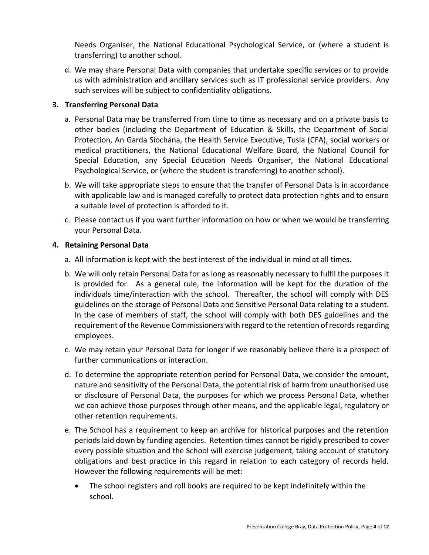Needs Organiser, the National Educational Psychological Service, or (where a student is transferring) to another school.

d. We may share Personal Data with companies that undertake specific services or to provide us with administration and ancillary services such as IT professional service providers. Any such services will be subject to confidentiality obligations.

#### **3. Transferring Personal Data**

- a. Personal Data may be transferred from time to time as necessary and on a private basis to other bodies (including the Department of Education & Skills, the Department of Social Protection, An Garda Síochána, the Health Service Executive, Tusla (CFA), social workers or medical practitioners, the National Educational Welfare Board, the National Council for Special Education, any Special Education Needs Organiser, the National Educational Psychological Service, or (where the student is transferring) to another school).
- b. We will take appropriate steps to ensure that the transfer of Personal Data is in accordance with applicable law and is managed carefully to protect data protection rights and to ensure a suitable level of protection is afforded to it.
- c. Please contact us if you want further information on how or when we would be transferring your Personal Data.

#### **4. Retaining Personal Data**

- a. All information is kept with the best interest of the individual in mind at all times.
- b. We will only retain Personal Data for as long as reasonably necessary to fulfil the purposes it is provided for. As a general rule, the information will be kept for the duration of the individuals time/interaction with the school. Thereafter, the school will comply with DES guidelines on the storage of Personal Data and Sensitive Personal Data relating to a student. In the case of members of staff, the school will comply with both DES guidelines and the requirement of the Revenue Commissioners with regard to the retention of records regarding employees.
- c. We may retain your Personal Data for longer if we reasonably believe there is a prospect of further communications or interaction.
- d. To determine the appropriate retention period for Personal Data, we consider the amount, nature and sensitivity of the Personal Data, the potential risk of harm from unauthorised use or disclosure of Personal Data, the purposes for which we process Personal Data, whether we can achieve those purposes through other means, and the applicable legal, regulatory or other retention requirements.
- e. The School has a requirement to keep an archive for historical purposes and the retention periods laid down by funding agencies. Retention times cannot be rigidly prescribed to cover every possible situation and the School will exercise judgement, taking account of statutory obligations and best practice in this regard in relation to each category of records held. However the following requirements will be met:
	- The school registers and roll books are required to be kept indefinitely within the school.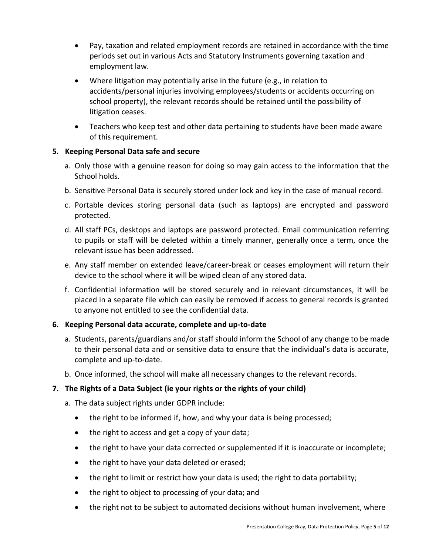- Pay, taxation and related employment records are retained in accordance with the time periods set out in various Acts and Statutory Instruments governing taxation and employment law.
- Where litigation may potentially arise in the future (e.g., in relation to accidents/personal injuries involving employees/students or accidents occurring on school property), the relevant records should be retained until the possibility of litigation ceases.
- Teachers who keep test and other data pertaining to students have been made aware of this requirement.

#### **5. Keeping Personal Data safe and secure**

- a. Only those with a genuine reason for doing so may gain access to the information that the School holds.
- b. Sensitive Personal Data is securely stored under lock and key in the case of manual record.
- c. Portable devices storing personal data (such as laptops) are encrypted and password protected.
- d. All staff PCs, desktops and laptops are password protected. Email communication referring to pupils or staff will be deleted within a timely manner, generally once a term, once the relevant issue has been addressed.
- e. Any staff member on extended leave/career-break or ceases employment will return their device to the school where it will be wiped clean of any stored data.
- f. Confidential information will be stored securely and in relevant circumstances, it will be placed in a separate file which can easily be removed if access to general records is granted to anyone not entitled to see the confidential data.

# **6. Keeping Personal data accurate, complete and up-to-date**

- a. Students, parents/guardians and/or staff should inform the School of any change to be made to their personal data and or sensitive data to ensure that the individual's data is accurate, complete and up-to-date.
- b. Once informed, the school will make all necessary changes to the relevant records.

# **7. The Rights of a Data Subject (ie your rights or the rights of your child)**

- a. The data subject rights under GDPR include:
	- the right to be informed if, how, and why your data is being processed;
	- the right to access and get a copy of your data;
	- the right to have your data corrected or supplemented if it is inaccurate or incomplete;
	- the right to have your data deleted or erased;
	- the right to limit or restrict how your data is used; the right to data portability;
	- the right to object to processing of your data; and
	- the right not to be subject to automated decisions without human involvement, where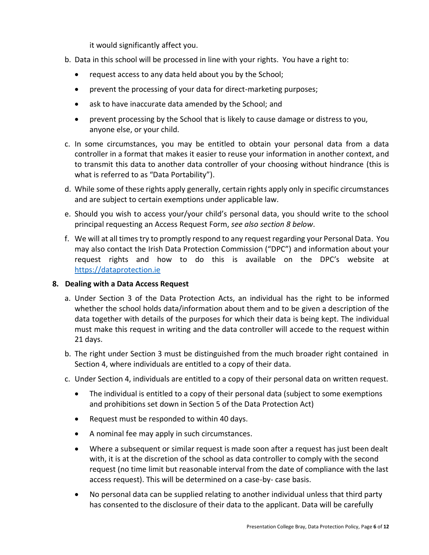it would significantly affect you.

- b. Data in this school will be processed in line with your rights. You have a right to:
	- request access to any data held about you by the School;
	- prevent the processing of your data for direct-marketing purposes;
	- ask to have inaccurate data amended by the School; and
	- prevent processing by the School that is likely to cause damage or distress to you, anyone else, or your child.
- c. In some circumstances, you may be entitled to obtain your personal data from a data controller in a format that makes it easier to reuse your information in another context, and to transmit this data to another data controller of your choosing without hindrance (this is what is referred to as "Data Portability").
- d. While some of these rights apply generally, certain rights apply only in specific circumstances and are subject to certain exemptions under applicable law.
- e. Should you wish to access your/your child's personal data, you should write to the school principal requesting an Access Request Form, *see also section 8 below*.
- f. We will at all times try to promptly respond to any request regarding your Personal Data. You may also contact the Irish Data Protection Commission ("DPC") and information about your request rights and how to do this is available on the DPC's website at [https://dataprotection.ie](https://dataprotection.ie/)

# **8. Dealing with a Data Access Request**

- a. Under Section 3 of the Data Protection Acts, an individual has the right to be informed whether the school holds data/information about them and to be given a description of the data together with details of the purposes for which their data is being kept. The individual must make this request in writing and the data controller will accede to the request within 21 days.
- b. The right under Section 3 must be distinguished from the much broader right contained in Section 4, where individuals are entitled to a copy of their data.
- c. Under Section 4, individuals are entitled to a copy of their personal data on written request.
	- The individual is entitled to a copy of their personal data (subject to some exemptions and prohibitions set down in Section 5 of the Data Protection Act)
	- Request must be responded to within 40 days.
	- A nominal fee may apply in such circumstances.
	- Where a subsequent or similar request is made soon after a request has just been dealt with, it is at the discretion of the school as data controller to comply with the second request (no time limit but reasonable interval from the date of compliance with the last access request). This will be determined on a case-by- case basis.
	- No personal data can be supplied relating to another individual unless that third party has consented to the disclosure of their data to the applicant. Data will be carefully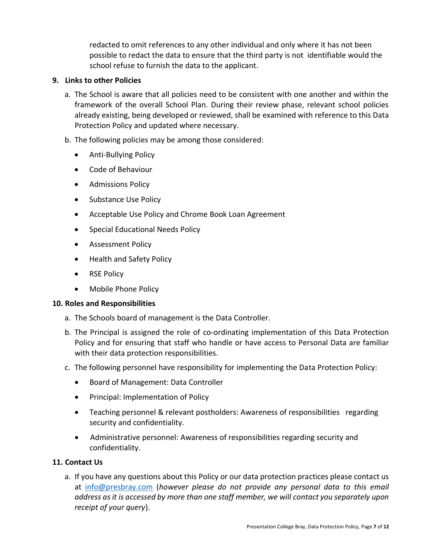redacted to omit references to any other individual and only where it has not been possible to redact the data to ensure that the third party is not identifiable would the school refuse to furnish the data to the applicant.

#### **9. Links to other Policies**

- a. The School is aware that all policies need to be consistent with one another and within the framework of the overall School Plan. During their review phase, relevant school policies already existing, being developed or reviewed, shall be examined with reference to this Data Protection Policy and updated where necessary.
- b. The following policies may be among those considered:
	- Anti-Bullying Policy
	- Code of Behaviour
	- Admissions Policy
	- Substance Use Policy
	- Acceptable Use Policy and Chrome Book Loan Agreement
	- Special Educational Needs Policy
	- Assessment Policy
	- Health and Safety Policy
	- RSE Policy
	- Mobile Phone Policy

# **10. Roles and Responsibilities**

- a. The Schools board of management is the Data Controller.
- b. The Principal is assigned the role of co-ordinating implementation of this Data Protection Policy and for ensuring that staff who handle or have access to Personal Data are familiar with their data protection responsibilities.
- c. The following personnel have responsibility for implementing the Data Protection Policy:
	- Board of Management: Data Controller
	- Principal: Implementation of Policy
	- Teaching personnel & relevant postholders: Awareness of responsibilities regarding security and confidentiality.
	- Administrative personnel: Awareness of responsibilities regarding security and confidentiality.

# **11. Contact Us**

a. If you have any questions about this Policy or our data protection practices please contact us at [info@presbray.com](mailto:info@presbray.com) (*however please do not provide any personal data to this email address as it is accessed by more than one staff member, we will contact you separately upon receipt of your query*).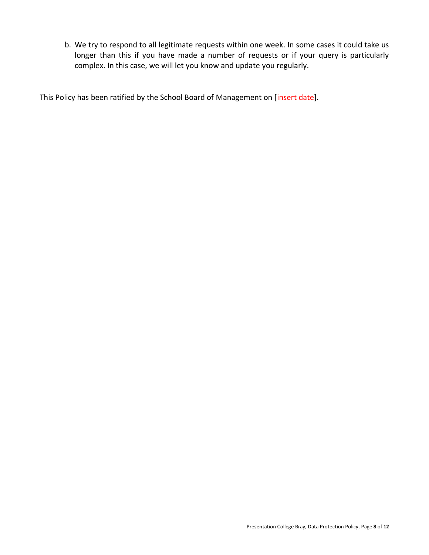b. We try to respond to all legitimate requests within one week. In some cases it could take us longer than this if you have made a number of requests or if your query is particularly complex. In this case, we will let you know and update you regularly.

This Policy has been ratified by the School Board of Management on [insert date].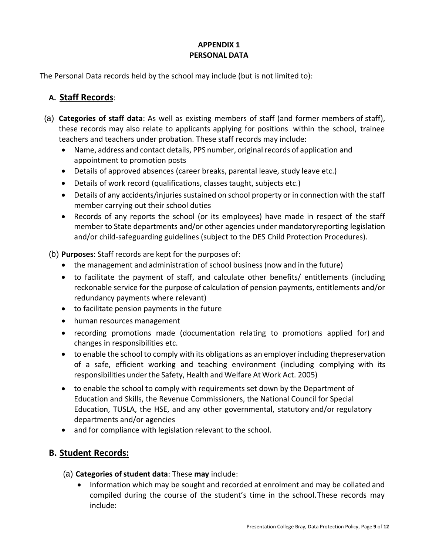#### **APPENDIX 1 PERSONAL DATA**

The Personal Data records held by the school may include (but is not limited to):

# **A. Staff Records**:

- (a) **Categories of staff data**: As well as existing members of staff (and former members of staff), these records may also relate to applicants applying for positions within the school, trainee teachers and teachers under probation. These staff records may include:
	- Name, address and contact details, PPS number, original records of application and appointment to promotion posts
	- Details of approved absences (career breaks, parental leave, study leave etc.)
	- Details of work record (qualifications, classes taught, subjects etc.)
	- Details of any accidents/injuries sustained on school property or in connection with the staff member carrying out their school duties
	- Records of any reports the school (or its employees) have made in respect of the staff member to State departments and/or other agencies under mandatoryreporting legislation and/or child-safeguarding guidelines (subject to the DES Child Protection Procedures).

(b) **Purposes**: Staff records are kept for the purposes of:

- the management and administration of school business (now and in the future)
- to facilitate the payment of staff, and calculate other benefits/ entitlements (including reckonable service for the purpose of calculation of pension payments, entitlements and/or redundancy payments where relevant)
- to facilitate pension payments in the future
- human resources management
- recording promotions made (documentation relating to promotions applied for) and changes in responsibilities etc.
- to enable the school to comply with its obligations as an employer including thepreservation of a safe, efficient working and teaching environment (including complying with its responsibilities under the Safety, Health and Welfare At Work Act. 2005)
- to enable the school to comply with requirements set down by the Department of Education and Skills, the Revenue Commissioners, the National Council for Special Education, TUSLA, the HSE, and any other governmental, statutory and/or regulatory departments and/or agencies
- and for compliance with legislation relevant to the school.

# **B. Student Records:**

- (a) **Categories of student data**: These **may** include:
	- Information which may be sought and recorded at enrolment and may be collated and compiled during the course of the student's time in the school.These records may include: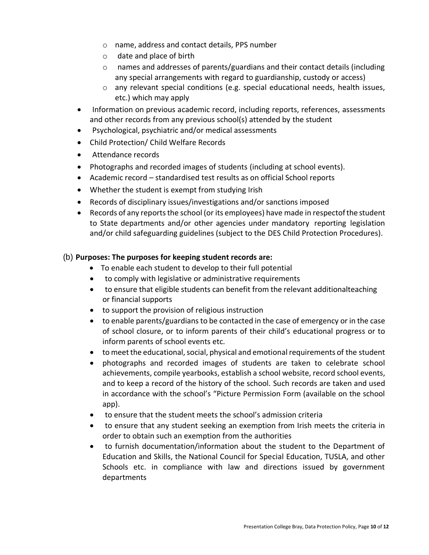- o name, address and contact details, PPS number
- o date and place of birth
- $\circ$  names and addresses of parents/guardians and their contact details (including any special arrangements with regard to guardianship, custody or access)
- $\circ$  any relevant special conditions (e.g. special educational needs, health issues, etc.) which may apply
- Information on previous academic record, including reports, references, assessments and other records from any previous school(s) attended by the student
- Psychological, psychiatric and/or medical assessments
- Child Protection/ Child Welfare Records
- Attendance records
- Photographs and recorded images of students (including at school events).
- Academic record standardised test results as on official School reports
- Whether the student is exempt from studying Irish
- Records of disciplinary issues/investigations and/or sanctions imposed
- Records of any reports the school (or its employees) have made in respectof the student to State departments and/or other agencies under mandatory reporting legislation and/or child safeguarding guidelines (subject to the DES Child Protection Procedures).

# (b) **Purposes: The purposes for keeping student records are:**

- To enable each student to develop to their full potential
- to comply with legislative or administrative requirements
- to ensure that eligible students can benefit from the relevant additionalteaching or financial supports
- to support the provision of religious instruction
- to enable parents/guardians to be contacted in the case of emergency or in the case of school closure, or to inform parents of their child's educational progress or to inform parents of school events etc.
- to meet the educational, social, physical and emotional requirements of the student
- photographs and recorded images of students are taken to celebrate school achievements, compile yearbooks, establish a school website, record school events, and to keep a record of the history of the school. Such records are taken and used in accordance with the school's "Picture Permission Form (available on the school app).
- to ensure that the student meets the school's admission criteria
- to ensure that any student seeking an exemption from Irish meets the criteria in order to obtain such an exemption from the authorities
- to furnish documentation/information about the student to the Department of Education and Skills, the National Council for Special Education, TUSLA, and other Schools etc. in compliance with law and directions issued by government departments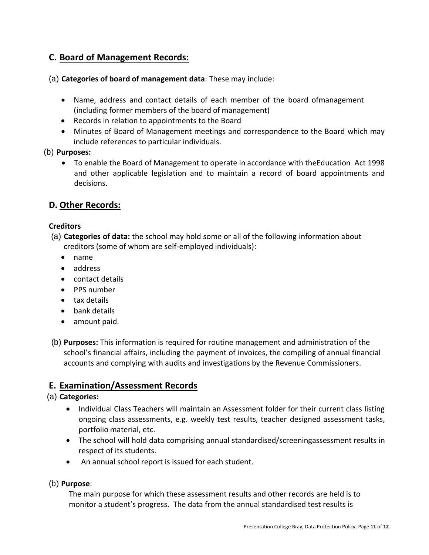# **C. Board of Management Records:**

(a) **Categories of board of management data**: These may include:

- Name, address and contact details of each member of the board ofmanagement (including former members of the board of management)
- Records in relation to appointments to the Board
- Minutes of Board of Management meetings and correspondence to the Board which may include references to particular individuals.
- (b) **Purposes:**
	- To enable the Board of Management to operate in accordance with theEducation Act 1998 and other applicable legislation and to maintain a record of board appointments and decisions.

# **D. Other Records:**

#### **Creditors**

- (a) **Categories of data:** the school may hold some or all of the following information about creditors (some of whom are self-employed individuals):
	- name
	- address
	- contact details
	- PPS number
	- tax details
	- bank details
	- amount paid.
- (b) **Purposes:** This information is required for routine management and administration of the school's financial affairs, including the payment of invoices, the compiling of annual financial accounts and complying with audits and investigations by the Revenue Commissioners.

# **E. Examination/Assessment Records**

#### (a) **Categories:**

- Individual Class Teachers will maintain an Assessment folder for their current class listing ongoing class assessments, e.g. weekly test results, teacher designed assessment tasks, portfolio material, etc.
- The school will hold data comprising annual standardised/screeningassessment results in respect of its students.
- An annual school report is issued for each student.

(b) **Purpose**:

The main purpose for which these assessment results and other records are held is to monitor a student's progress. The data from the annual standardised test results is